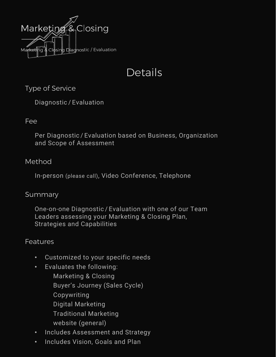

# Details

Type of Service

Diagnostic / Evaluation

### Fee

Per Diagnostic / Evaluation based on Business, Organization and Scope of Assessment

### Method

In-person (please call), Video Conference, Telephone

#### Summary

One-on-one Diagnostic / Evaluation with one of our Team Leaders assessing your Marketing & Closing Plan, Strategies and Capabilities

## **Features**

- Customized to your specific needs
- Evaluates the following:
	- Marketing & Closing Buyer's Journey (Sales Cycle) Copywriting Digital Marketing Traditional Marketing website (general)
- Includes Assessment and Strategy
- Includes Vision, Goals and Plan